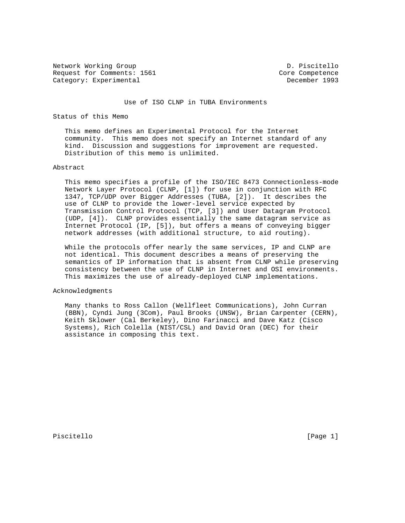Network Working Group and Communications of the D. Piscitello Request for Comments: 1561 Core Competence Category: Experimental December 1993

Use of ISO CLNP in TUBA Environments

Status of this Memo

 This memo defines an Experimental Protocol for the Internet community. This memo does not specify an Internet standard of any kind. Discussion and suggestions for improvement are requested. Distribution of this memo is unlimited.

## Abstract

 This memo specifies a profile of the ISO/IEC 8473 Connectionless-mode Network Layer Protocol (CLNP, [1]) for use in conjunction with RFC 1347, TCP/UDP over Bigger Addresses (TUBA, [2]). It describes the use of CLNP to provide the lower-level service expected by Transmission Control Protocol (TCP, [3]) and User Datagram Protocol (UDP, [4]). CLNP provides essentially the same datagram service as Internet Protocol (IP, [5]), but offers a means of conveying bigger network addresses (with additional structure, to aid routing).

 While the protocols offer nearly the same services, IP and CLNP are not identical. This document describes a means of preserving the semantics of IP information that is absent from CLNP while preserving consistency between the use of CLNP in Internet and OSI environments. This maximizes the use of already-deployed CLNP implementations.

## Acknowledgments

 Many thanks to Ross Callon (Wellfleet Communications), John Curran (BBN), Cyndi Jung (3Com), Paul Brooks (UNSW), Brian Carpenter (CERN), Keith Sklower (Cal Berkeley), Dino Farinacci and Dave Katz (Cisco Systems), Rich Colella (NIST/CSL) and David Oran (DEC) for their assistance in composing this text.

Piscitello [Page 1]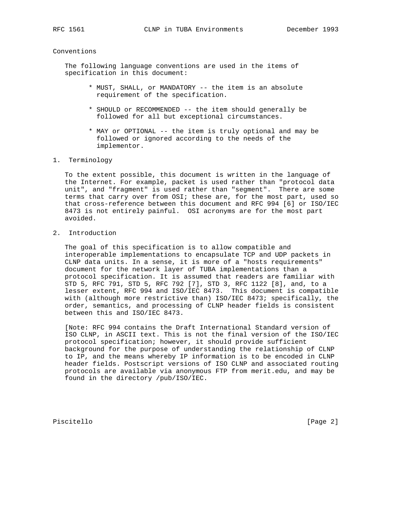#### Conventions

 The following language conventions are used in the items of specification in this document:

- \* MUST, SHALL, or MANDATORY -- the item is an absolute requirement of the specification.
- \* SHOULD or RECOMMENDED -- the item should generally be followed for all but exceptional circumstances.
- \* MAY or OPTIONAL -- the item is truly optional and may be followed or ignored according to the needs of the implementor.
- 1. Terminology

 To the extent possible, this document is written in the language of the Internet. For example, packet is used rather than "protocol data unit", and "fragment" is used rather than "segment". There are some terms that carry over from OSI; these are, for the most part, used so that cross-reference between this document and RFC 994 [6] or ISO/IEC 8473 is not entirely painful. OSI acronyms are for the most part avoided.

2. Introduction

 The goal of this specification is to allow compatible and interoperable implementations to encapsulate TCP and UDP packets in CLNP data units. In a sense, it is more of a "hosts requirements" document for the network layer of TUBA implementations than a protocol specification. It is assumed that readers are familiar with STD 5, RFC 791, STD 5, RFC 792 [7], STD 3, RFC 1122 [8], and, to a lesser extent, RFC 994 and ISO/IEC 8473. This document is compatible with (although more restrictive than) ISO/IEC 8473; specifically, the order, semantics, and processing of CLNP header fields is consistent between this and ISO/IEC 8473.

 [Note: RFC 994 contains the Draft International Standard version of ISO CLNP, in ASCII text. This is not the final version of the ISO/IEC protocol specification; however, it should provide sufficient background for the purpose of understanding the relationship of CLNP to IP, and the means whereby IP information is to be encoded in CLNP header fields. Postscript versions of ISO CLNP and associated routing protocols are available via anonymous FTP from merit.edu, and may be found in the directory /pub/ISO/IEC.

Piscitello [Page 2]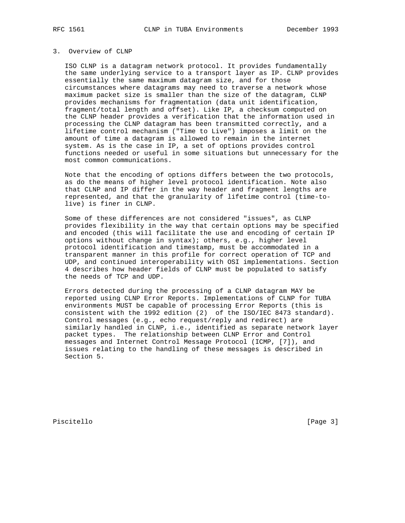# 3. Overview of CLNP

 ISO CLNP is a datagram network protocol. It provides fundamentally the same underlying service to a transport layer as IP. CLNP provides essentially the same maximum datagram size, and for those circumstances where datagrams may need to traverse a network whose maximum packet size is smaller than the size of the datagram, CLNP provides mechanisms for fragmentation (data unit identification, fragment/total length and offset). Like IP, a checksum computed on the CLNP header provides a verification that the information used in processing the CLNP datagram has been transmitted correctly, and a lifetime control mechanism ("Time to Live") imposes a limit on the amount of time a datagram is allowed to remain in the internet system. As is the case in IP, a set of options provides control functions needed or useful in some situations but unnecessary for the most common communications.

 Note that the encoding of options differs between the two protocols, as do the means of higher level protocol identification. Note also that CLNP and IP differ in the way header and fragment lengths are represented, and that the granularity of lifetime control (time-to live) is finer in CLNP.

 Some of these differences are not considered "issues", as CLNP provides flexibility in the way that certain options may be specified and encoded (this will facilitate the use and encoding of certain IP options without change in syntax); others, e.g., higher level protocol identification and timestamp, must be accommodated in a transparent manner in this profile for correct operation of TCP and UDP, and continued interoperability with OSI implementations. Section 4 describes how header fields of CLNP must be populated to satisfy the needs of TCP and UDP.

 Errors detected during the processing of a CLNP datagram MAY be reported using CLNP Error Reports. Implementations of CLNP for TUBA environments MUST be capable of processing Error Reports (this is consistent with the 1992 edition (2) of the ISO/IEC 8473 standard). Control messages (e.g., echo request/reply and redirect) are similarly handled in CLNP, i.e., identified as separate network layer packet types. The relationship between CLNP Error and Control messages and Internet Control Message Protocol (ICMP, [7]), and issues relating to the handling of these messages is described in Section 5.

Piscitello [Page 3]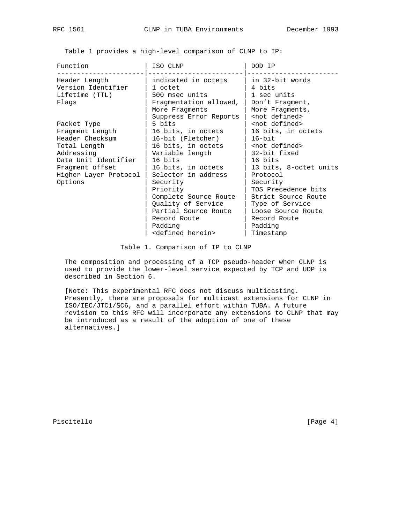Table 1 provides a high-level comparison of CLNP to IP:

| Function                                                                                                                                                       | ISO CLNP                                                                                                                                                                                                                                                          | DOD IP                                                                                                                                                                                                                                                                                           |
|----------------------------------------------------------------------------------------------------------------------------------------------------------------|-------------------------------------------------------------------------------------------------------------------------------------------------------------------------------------------------------------------------------------------------------------------|--------------------------------------------------------------------------------------------------------------------------------------------------------------------------------------------------------------------------------------------------------------------------------------------------|
| Header Length<br>Version Identifier<br>Lifetime (TTL)<br>Flags                                                                                                 | indicated in octets<br>1 octet<br>500 msec units<br>Fragmentation allowed,<br>More Fragments<br>Suppress Error Reports                                                                                                                                            | in 32-bit words<br>4 bits<br>1 sec units<br>Don't Fragment,<br>More Fragments,<br><not defined=""></not>                                                                                                                                                                                         |
| Packet Type<br>Fragment Length<br>Header Checksum<br>Total Length<br>Addressing<br>Data Unit Identifier<br>Fragment offset<br>Higher Layer Protocol<br>Options | 5 bits<br>16 bits, in octets<br>16-bit (Fletcher)<br>16 bits, in octets<br>Variable length<br>16 bits<br>16 bits, in octets<br>Selector in address<br>Security<br>Priority<br>Complete Source Route<br>Quality of Service<br>Partial Source Route<br>Record Route | <not defined=""><br/>16 bits, in octets<br/><math>16 - bit</math><br/><not defined=""><br/>32-bit fixed<br/>16 bits<br/>13 bits, 8-octet units<br/>Protocol<br/>Security<br/>TOS Precedence bits<br/>Strict Source Route<br/>Type of Service<br/>Loose Source Route<br/>Record Route</not></not> |
|                                                                                                                                                                | Padding<br><defined herein=""></defined>                                                                                                                                                                                                                          | Padding<br>Timestamp                                                                                                                                                                                                                                                                             |

Table 1. Comparison of IP to CLNP

 The composition and processing of a TCP pseudo-header when CLNP is used to provide the lower-level service expected by TCP and UDP is described in Section 6.

 [Note: This experimental RFC does not discuss multicasting. Presently, there are proposals for multicast extensions for CLNP in ISO/IEC/JTC1/SC6, and a parallel effort within TUBA. A future revision to this RFC will incorporate any extensions to CLNP that may be introduced as a result of the adoption of one of these alternatives.]

Piscitello [Page 4]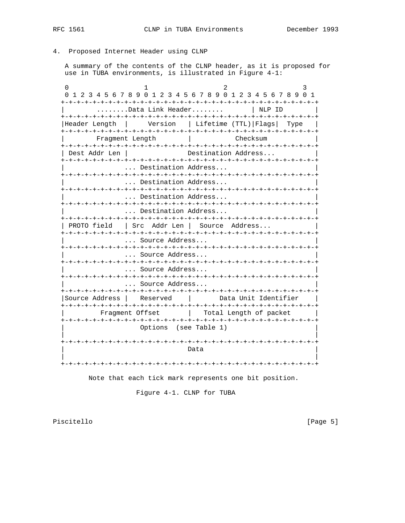4. Proposed Internet Header using CLNP

 A summary of the contents of the CLNP header, as it is proposed for use in TUBA environments, is illustrated in Figure 4-1:

0  $1$  2 3 0 1 2 3 4 5 6 7 8 9 0 1 2 3 4 5 6 7 8 9 0 1 2 3 4 5 6 7 8 9 0 1 +-+-+-+-+-+-+-+-+-+-+-+-+-+-+-+-+-+-+-+-+-+-+-+-+-+-+-+-+-+-+-+-+ ........Data Link Header........ | NLP ID +-+-+-+-+-+-+-+-+-+-+-+-+-+-+-+-+-+-+-+-+-+-+-+-+-+-+-+-+-+-+-+-+ |Header Length | Version | Lifetime (TTL)|Flags| Type | +-+-+-+-+-+-+-+-+-+-+-+-+-+-+-+-+-+-+-+-+-+-+-+-+-+-+-+-+-+-+-+-+ | Fragment Length | Checksum | +-+-+-+-+-+-+-+-+-+-+-+-+-+-+-+-+-+-+-+-+-+-+-+-+-+-+-+-+-+-+-+-+ | Dest Addr Len | Destination Address... +-+-+-+-+-+-+-+-+-+-+-+-+-+-+-+-+-+-+-+-+-+-+-+-+-+-+-+-+-+-+-+-+ ... Destination Address... +-+-+-+-+-+-+-+-+-+-+-+-+-+-+-+-+-+-+-+-+-+-+-+-+-+-+-+-+-+-+-+-+ ... Destination Address... +-+-+-+-+-+-+-+-+-+-+-+-+-+-+-+-+-+-+-+-+-+-+-+-+-+-+-+-+-+-+-+-+ ... Destination Address... +-+-+-+-+-+-+-+-+-+-+-+-+-+-+-+-+-+-+-+-+-+-+-+-+-+-+-+-+-+-+-+-+ ... Destination Address... +-+-+-+-+-+-+-+-+-+-+-+-+-+-+-+-+-+-+-+-+-+-+-+-+-+-+-+-+-+-+-+-+ | PROTO field | Src Addr Len | Source Address... +-+-+-+-+-+-+-+-+-+-+-+-+-+-+-+-+-+-+-+-+-+-+-+-+-+-+-+-+-+-+-+-+ ... Source Address... +-+-+-+-+-+-+-+-+-+-+-+-+-+-+-+-+-+-+-+-+-+-+-+-+-+-+-+-+-+-+-+-+ ... Source Address... +-+-+-+-+-+-+-+-+-+-+-+-+-+-+-+-+-+-+-+-+-+-+-+-+-+-+-+-+-+-+-+-+ ... Source Address... +-+-+-+-+-+-+-+-+-+-+-+-+-+-+-+-+-+-+-+-+-+-+-+-+-+-+-+-+-+-+-+-+ ... Source Address... +-+-+-+-+-+-+-+-+-+-+-+-+-+-+-+-+-+-+-+-+-+-+-+-+-+-+-+-+-+-+-+-+ |Source Address | Reserved | Data Unit Identifier | +-+-+-+-+-+-+-+-+-+-+-+-+-+-+-+-+-+-+-+-+-+-+-+-+-+-+-+-+-+-+-+-+ | Fragment Offset | Total Length of packet | +-+-+-+-+-+-+-+-+-+-+-+-+-+-+-+-+-+-+-+-+-+-+-+-+-+-+-+-+-+-+-+-+ Options (see Table 1) | | +-+-+-+-+-+-+-+-+-+-+-+-+-+-+-+-+-+-+-+-+-+-+-+-+-+-+-+-+-+-+-+-+ | Data | Data | Data | Data | Data | Data | Data | Data | Data | Data | Data | Data | Data | Data | Data | Data | Data | Data | Data | Data | Data | Data | Data | Data | Data | Data | Data | Data | Data | Data | Data | Dat | | +-+-+-+-+-+-+-+-+-+-+-+-+-+-+-+-+-+-+-+-+-+-+-+-+-+-+-+-+-+-+-+-+

Note that each tick mark represents one bit position.

Figure 4-1. CLNP for TUBA

Piscitello [Page 5]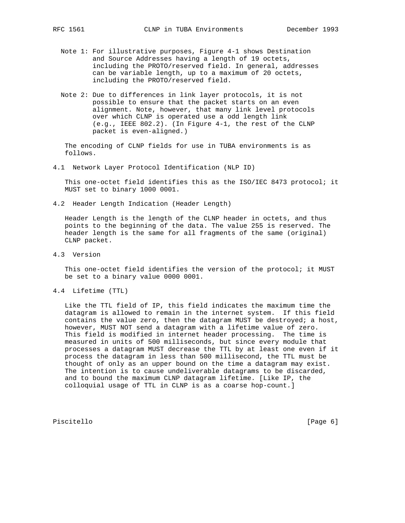- Note 1: For illustrative purposes, Figure 4-1 shows Destination and Source Addresses having a length of 19 octets, including the PROTO/reserved field. In general, addresses can be variable length, up to a maximum of 20 octets, including the PROTO/reserved field.
- Note 2: Due to differences in link layer protocols, it is not possible to ensure that the packet starts on an even alignment. Note, however, that many link level protocols over which CLNP is operated use a odd length link (e.g., IEEE 802.2). (In Figure 4-1, the rest of the CLNP packet is even-aligned.)

 The encoding of CLNP fields for use in TUBA environments is as follows.

4.1 Network Layer Protocol Identification (NLP ID)

 This one-octet field identifies this as the ISO/IEC 8473 protocol; it MUST set to binary 1000 0001.

4.2 Header Length Indication (Header Length)

 Header Length is the length of the CLNP header in octets, and thus points to the beginning of the data. The value 255 is reserved. The header length is the same for all fragments of the same (original) CLNP packet.

4.3 Version

 This one-octet field identifies the version of the protocol; it MUST be set to a binary value 0000 0001.

4.4 Lifetime (TTL)

 Like the TTL field of IP, this field indicates the maximum time the datagram is allowed to remain in the internet system. If this field contains the value zero, then the datagram MUST be destroyed; a host, however, MUST NOT send a datagram with a lifetime value of zero. This field is modified in internet header processing. The time is measured in units of 500 milliseconds, but since every module that processes a datagram MUST decrease the TTL by at least one even if it process the datagram in less than 500 millisecond, the TTL must be thought of only as an upper bound on the time a datagram may exist. The intention is to cause undeliverable datagrams to be discarded, and to bound the maximum CLNP datagram lifetime. [Like IP, the colloquial usage of TTL in CLNP is as a coarse hop-count.]

Piscitello [Page 6]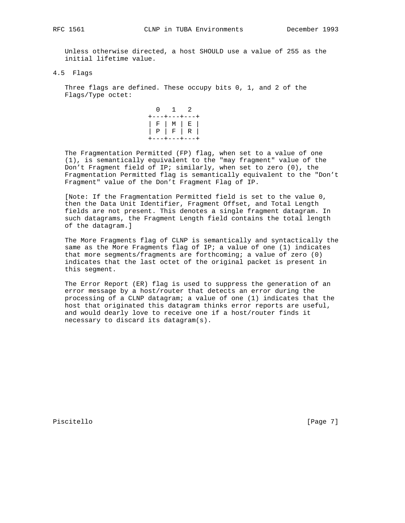Unless otherwise directed, a host SHOULD use a value of 255 as the initial lifetime value.

4.5 Flags

 Three flags are defined. These occupy bits 0, 1, and 2 of the Flags/Type octet:

 0 1 2 +---+---+---+ | F | M | E | | P | F | R | +---+---+---+

 The Fragmentation Permitted (FP) flag, when set to a value of one (1), is semantically equivalent to the "may fragment" value of the Don't Fragment field of IP; similarly, when set to zero (0), the Fragmentation Permitted flag is semantically equivalent to the "Don't Fragment" value of the Don't Fragment Flag of IP.

 [Note: If the Fragmentation Permitted field is set to the value 0, then the Data Unit Identifier, Fragment Offset, and Total Length fields are not present. This denotes a single fragment datagram. In such datagrams, the Fragment Length field contains the total length of the datagram.]

 The More Fragments flag of CLNP is semantically and syntactically the same as the More Fragments flag of IP; a value of one (1) indicates that more segments/fragments are forthcoming; a value of zero (0) indicates that the last octet of the original packet is present in this segment.

 The Error Report (ER) flag is used to suppress the generation of an error message by a host/router that detects an error during the processing of a CLNP datagram; a value of one (1) indicates that the host that originated this datagram thinks error reports are useful, and would dearly love to receive one if a host/router finds it necessary to discard its datagram(s).

Piscitello [Page 7]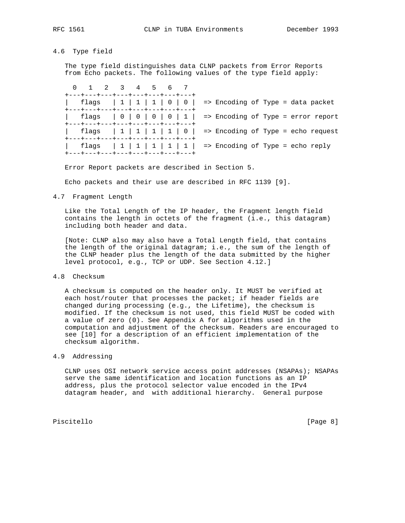# 4.6 Type field

 The type field distinguishes data CLNP packets from Error Reports from Echo packets. The following values of the type field apply:

|  | 0 1 2 3 4 5 6 7<br>+---+---+---+---+---+---+---+---+    |  |  |  |                                                                |
|--|---------------------------------------------------------|--|--|--|----------------------------------------------------------------|
|  | +---+---+---+---+---+---+---+---+                       |  |  |  | flags   1   1   1   0   0   => Encoding of Type = data packet  |
|  | +---+---+---+---+---+---+---+---+                       |  |  |  | flags   0   0   0   0   1   => Encoding of Type = error report |
|  |                                                         |  |  |  | flags   1   1   1   0   => Encoding of Type = echo request     |
|  | +---+---+---+---+---+---+---+---+<br>  flags  1 1 1 1 1 |  |  |  | => Encoding of Type = echo reply                               |
|  | +---+---+---+---+---+---+---+---+                       |  |  |  |                                                                |

Error Report packets are described in Section 5.

Echo packets and their use are described in RFC 1139 [9].

#### 4.7 Fragment Length

 Like the Total Length of the IP header, the Fragment length field contains the length in octets of the fragment (i.e., this datagram) including both header and data.

 [Note: CLNP also may also have a Total Length field, that contains the length of the original datagram; i.e., the sum of the length of the CLNP header plus the length of the data submitted by the higher level protocol, e.g., TCP or UDP. See Section 4.12.]

## 4.8 Checksum

 A checksum is computed on the header only. It MUST be verified at each host/router that processes the packet; if header fields are changed during processing (e.g., the Lifetime), the checksum is modified. If the checksum is not used, this field MUST be coded with a value of zero (0). See Appendix A for algorithms used in the computation and adjustment of the checksum. Readers are encouraged to see [10] for a description of an efficient implementation of the checksum algorithm.

## 4.9 Addressing

 CLNP uses OSI network service access point addresses (NSAPAs); NSAPAs serve the same identification and location functions as an IP address, plus the protocol selector value encoded in the IPv4 datagram header, and with additional hierarchy. General purpose

Piscitello [Page 8]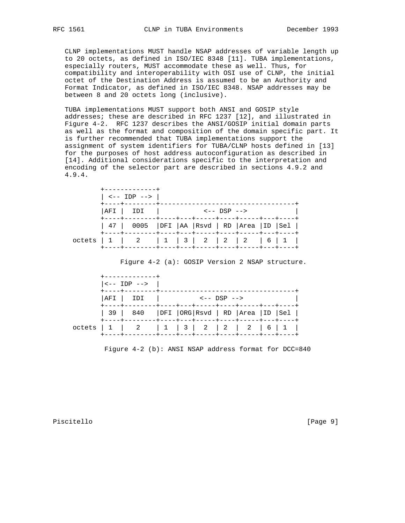CLNP implementations MUST handle NSAP addresses of variable length up to 20 octets, as defined in ISO/IEC 8348 [11]. TUBA implementations, especially routers, MUST accommodate these as well. Thus, for compatibility and interoperability with OSI use of CLNP, the initial octet of the Destination Address is assumed to be an Authority and Format Indicator, as defined in ISO/IEC 8348. NSAP addresses may be between 8 and 20 octets long (inclusive).

 TUBA implementations MUST support both ANSI and GOSIP style addresses; these are described in RFC 1237 [12], and illustrated in Figure 4-2. RFC 1237 describes the ANSI/GOSIP initial domain parts as well as the format and composition of the domain specific part. It is further recommended that TUBA implementations support the assignment of system identifiers for TUBA/CLNP hosts defined in [13] for the purposes of host address autoconfiguration as described in [14]. Additional considerations specific to the interpretation and encoding of the selector part are described in sections 4.9.2 and 4.9.4.

|  | +------------+<br>$  \leftarrow -  1DP - - >  $                         |  |                                               |  |  |
|--|-------------------------------------------------------------------------|--|-----------------------------------------------|--|--|
|  | +----+--------+<br> AFI   IDI                                           |  | $\leftarrow -$ DSP $\leftarrow$ $\rightarrow$ |  |  |
|  | 47   0005   DFI   AA   Rsvd   RD   Area   ID   Sel                      |  |                                               |  |  |
|  | octets $1 \mid 2 \mid 1 \mid 3 \mid 2 \mid 2 \mid 2 \mid 6 \mid 1 \mid$ |  |                                               |  |  |

Figure 4-2 (a): GOSIP Version 2 NSAP structure.

|  | --------------+<br>$ $ <-- IDP --> $ $             |  |                                               |  |  |
|--|----------------------------------------------------|--|-----------------------------------------------|--|--|
|  | +----+--------+<br> AFI   IDI                      |  | $\leftarrow -$ DSP $\leftarrow$ $\rightarrow$ |  |  |
|  | 39   840   DFI   ORG   Rsvd   RD   Area   ID   Sel |  |                                               |  |  |
|  | octets $1 \t 2 \t 1 \t 3 \t 2 \t 2 \t 6 \t 1$      |  |                                               |  |  |

Figure 4-2 (b): ANSI NSAP address format for DCC=840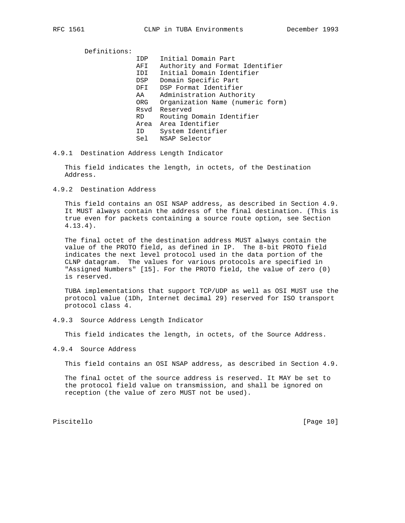Definitions: IDP Initial Domain Part AFI Authority and Format Identifier IDI Initial Domain Identifier DSP Domain Specific Part DFI DSP Format Identifier AA Administration Authority ORG Organization Name (numeric form) Rsvd Reserved RD Routing Domain Identifier Area Area Identifier ID System Identifier Sel NSAP Selector

4.9.1 Destination Address Length Indicator

 This field indicates the length, in octets, of the Destination Address.

4.9.2 Destination Address

 This field contains an OSI NSAP address, as described in Section 4.9. It MUST always contain the address of the final destination. (This is true even for packets containing a source route option, see Section 4.13.4).

 The final octet of the destination address MUST always contain the value of the PROTO field, as defined in IP. The 8-bit PROTO field indicates the next level protocol used in the data portion of the CLNP datagram. The values for various protocols are specified in "Assigned Numbers" [15]. For the PROTO field, the value of zero (0) is reserved.

 TUBA implementations that support TCP/UDP as well as OSI MUST use the protocol value (1Dh, Internet decimal 29) reserved for ISO transport protocol class 4.

4.9.3 Source Address Length Indicator

This field indicates the length, in octets, of the Source Address.

4.9.4 Source Address

This field contains an OSI NSAP address, as described in Section 4.9.

 The final octet of the source address is reserved. It MAY be set to the protocol field value on transmission, and shall be ignored on reception (the value of zero MUST not be used).

Piscitello [Page 10]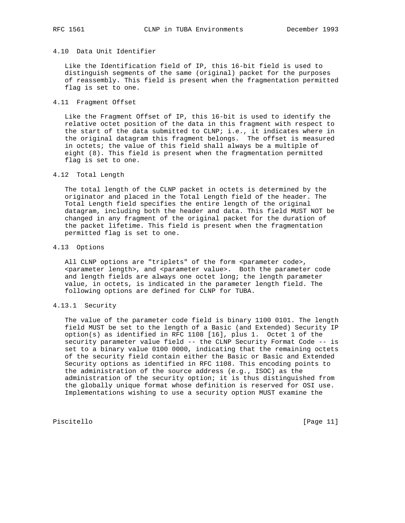#### 4.10 Data Unit Identifier

 Like the Identification field of IP, this 16-bit field is used to distinguish segments of the same (original) packet for the purposes of reassembly. This field is present when the fragmentation permitted flag is set to one.

4.11 Fragment Offset

 Like the Fragment Offset of IP, this 16-bit is used to identify the relative octet position of the data in this fragment with respect to the start of the data submitted to CLNP; i.e., it indicates where in the original datagram this fragment belongs. The offset is measured in octets; the value of this field shall always be a multiple of eight (8). This field is present when the fragmentation permitted flag is set to one.

### 4.12 Total Length

 The total length of the CLNP packet in octets is determined by the originator and placed in the Total Length field of the header. The Total Length field specifies the entire length of the original datagram, including both the header and data. This field MUST NOT be changed in any fragment of the original packet for the duration of the packet lifetime. This field is present when the fragmentation permitted flag is set to one.

#### 4.13 Options

All CLNP options are "triplets" of the form <parameter code>, <parameter length>, and <parameter value>. Both the parameter code and length fields are always one octet long; the length parameter value, in octets, is indicated in the parameter length field. The following options are defined for CLNP for TUBA.

# 4.13.1 Security

 The value of the parameter code field is binary 1100 0101. The length field MUST be set to the length of a Basic (and Extended) Security IP option(s) as identified in RFC 1108 [16], plus 1. Octet 1 of the security parameter value field -- the CLNP Security Format Code -- is set to a binary value 0100 0000, indicating that the remaining octets of the security field contain either the Basic or Basic and Extended Security options as identified in RFC 1108. This encoding points to the administration of the source address (e.g., ISOC) as the administration of the security option; it is thus distinguished from the globally unique format whose definition is reserved for OSI use. Implementations wishing to use a security option MUST examine the

Piscitello [Page 11]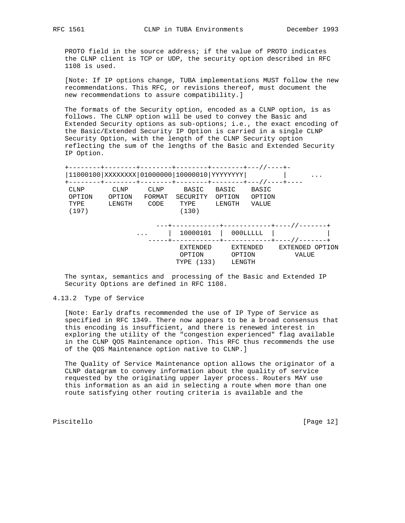PROTO field in the source address; if the value of PROTO indicates the CLNP client is TCP or UDP, the security option described in RFC 1108 is used.

 [Note: If IP options change, TUBA implementations MUST follow the new recommendations. This RFC, or revisions thereof, must document the new recommendations to assure compatibility.]

 The formats of the Security option, encoded as a CLNP option, is as follows. The CLNP option will be used to convey the Basic and Extended Security options as sub-options; i.e., the exact encoding of the Basic/Extended Security IP Option is carried in a single CLNP Security Option, with the length of the CLNP Security option reflecting the sum of the lengths of the Basic and Extended Security IP Option.

 +--------+--------+--------+--------+--------+---//----+- |11000100|XXXXXXXX|01000000|10000010|YYYYYYYY| | ... +--------+--------+--------+--------+--------+---//----+---- CLNP CLNP CLNP BASIC BASIC BASIC OPTION OPTION FORMAT SECURITY OPTION OPTION TYPE LENGTH CODE TYPE LENGTH VALUE (197) (130) ---+------------+------------+----//-------+ ... | 10000101 | 000LLLLL | |

 -----+------------+------------+----//-------+ EXTENDED EXTENDED EXTENDED OPTION OPTION OPTION VALUE TYPE (133) LENGTH

 The syntax, semantics and processing of the Basic and Extended IP Security Options are defined in RFC 1108.

### 4.13.2 Type of Service

 [Note: Early drafts recommended the use of IP Type of Service as specified in RFC 1349. There now appears to be a broad consensus that this encoding is insufficient, and there is renewed interest in exploring the utility of the "congestion experienced" flag available in the CLNP QOS Maintenance option. This RFC thus recommends the use of the QOS Maintenance option native to CLNP.]

 The Quality of Service Maintenance option allows the originator of a CLNP datagram to convey information about the quality of service requested by the originating upper layer process. Routers MAY use this information as an aid in selecting a route when more than one route satisfying other routing criteria is available and the

Piscitello [Page 12]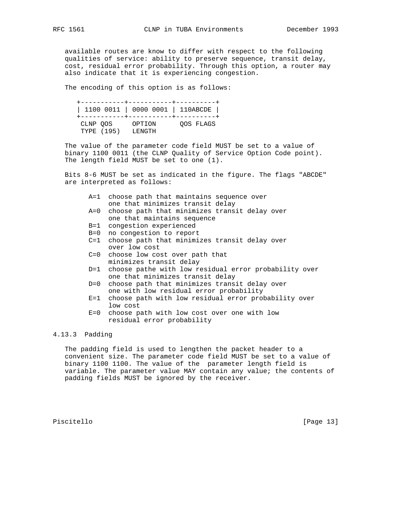available routes are know to differ with respect to the following qualities of service: ability to preserve sequence, transit delay, cost, residual error probability. Through this option, a router may also indicate that it is experiencing congestion.

The encoding of this option is as follows:

 +-----------+-----------+----------+ | 1100 0011 | 0000 0001 | 110ABCDE | +-----------+-----------+----------+ CLNP QOS OPTION QOS FLAGS TYPE (195) LENGTH

 The value of the parameter code field MUST be set to a value of binary 1100 0011 (the CLNP Quality of Service Option Code point). The length field MUST be set to one (1).

 Bits 8-6 MUST be set as indicated in the figure. The flags "ABCDE" are interpreted as follows:

- A=1 choose path that maintains sequence over one that minimizes transit delay
- A=0 choose path that minimizes transit delay over one that maintains sequence
- B=1 congestion experienced
- B=0 no congestion to report
- C=1 choose path that minimizes transit delay over over low cost
	- C=0 choose low cost over path that minimizes transit delay
	- D=1 choose pathe with low residual error probability over one that minimizes transit delay
	- D=0 choose path that minimizes transit delay over one with low residual error probability
	- E=1 choose path with low residual error probability over low cost
	- E=0 choose path with low cost over one with low residual error probability

# 4.13.3 Padding

 The padding field is used to lengthen the packet header to a convenient size. The parameter code field MUST be set to a value of binary 1100 1100. The value of the parameter length field is variable. The parameter value MAY contain any value; the contents of padding fields MUST be ignored by the receiver.

Piscitello [Page 13]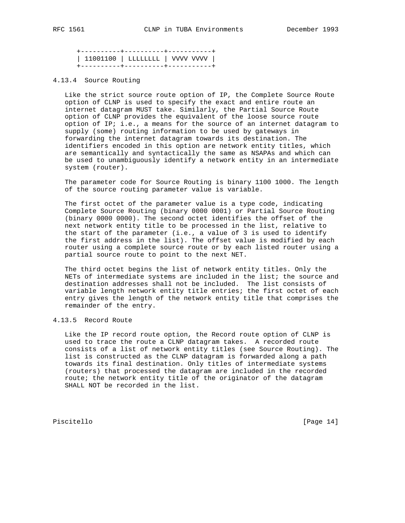+----------+----------+-----------+ | 11001100 | LLLLLLLL | VVVV VVVV | +----------+----------+-----------+

### 4.13.4 Source Routing

 Like the strict source route option of IP, the Complete Source Route option of CLNP is used to specify the exact and entire route an internet datagram MUST take. Similarly, the Partial Source Route option of CLNP provides the equivalent of the loose source route option of IP; i.e., a means for the source of an internet datagram to supply (some) routing information to be used by gateways in forwarding the internet datagram towards its destination. The identifiers encoded in this option are network entity titles, which are semantically and syntactically the same as NSAPAs and which can be used to unambiguously identify a network entity in an intermediate system (router).

 The parameter code for Source Routing is binary 1100 1000. The length of the source routing parameter value is variable.

 The first octet of the parameter value is a type code, indicating Complete Source Routing (binary 0000 0001) or Partial Source Routing (binary 0000 0000). The second octet identifies the offset of the next network entity title to be processed in the list, relative to the start of the parameter (i.e., a value of 3 is used to identify the first address in the list). The offset value is modified by each router using a complete source route or by each listed router using a partial source route to point to the next NET.

 The third octet begins the list of network entity titles. Only the NETs of intermediate systems are included in the list; the source and destination addresses shall not be included. The list consists of variable length network entity title entries; the first octet of each entry gives the length of the network entity title that comprises the remainder of the entry.

# 4.13.5 Record Route

 Like the IP record route option, the Record route option of CLNP is used to trace the route a CLNP datagram takes. A recorded route consists of a list of network entity titles (see Source Routing). The list is constructed as the CLNP datagram is forwarded along a path towards its final destination. Only titles of intermediate systems (routers) that processed the datagram are included in the recorded route; the network entity title of the originator of the datagram SHALL NOT be recorded in the list.

Piscitello [Page 14]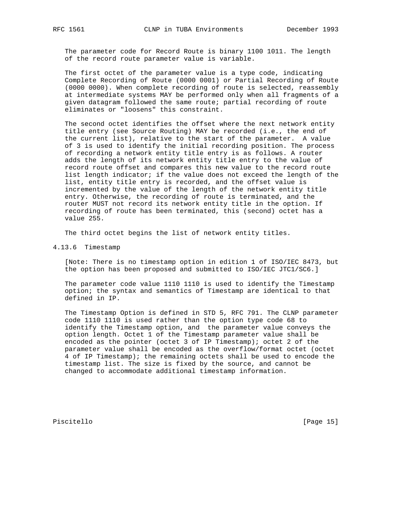The parameter code for Record Route is binary 1100 1011. The length of the record route parameter value is variable.

 The first octet of the parameter value is a type code, indicating Complete Recording of Route (0000 0001) or Partial Recording of Route (0000 0000). When complete recording of route is selected, reassembly at intermediate systems MAY be performed only when all fragments of a given datagram followed the same route; partial recording of route eliminates or "loosens" this constraint.

 The second octet identifies the offset where the next network entity title entry (see Source Routing) MAY be recorded (i.e., the end of the current list), relative to the start of the parameter. A value of 3 is used to identify the initial recording position. The process of recording a network entity title entry is as follows. A router adds the length of its network entity title entry to the value of record route offset and compares this new value to the record route list length indicator; if the value does not exceed the length of the list, entity title entry is recorded, and the offset value is incremented by the value of the length of the network entity title entry. Otherwise, the recording of route is terminated, and the router MUST not record its network entity title in the option. If recording of route has been terminated, this (second) octet has a value 255.

The third octet begins the list of network entity titles.

4.13.6 Timestamp

 [Note: There is no timestamp option in edition 1 of ISO/IEC 8473, but the option has been proposed and submitted to ISO/IEC JTC1/SC6.]

 The parameter code value 1110 1110 is used to identify the Timestamp option; the syntax and semantics of Timestamp are identical to that defined in IP.

 The Timestamp Option is defined in STD 5, RFC 791. The CLNP parameter code 1110 1110 is used rather than the option type code 68 to identify the Timestamp option, and the parameter value conveys the option length. Octet 1 of the Timestamp parameter value shall be encoded as the pointer (octet 3 of IP Timestamp); octet 2 of the parameter value shall be encoded as the overflow/format octet (octet 4 of IP Timestamp); the remaining octets shall be used to encode the timestamp list. The size is fixed by the source, and cannot be changed to accommodate additional timestamp information.

Piscitello [Page 15]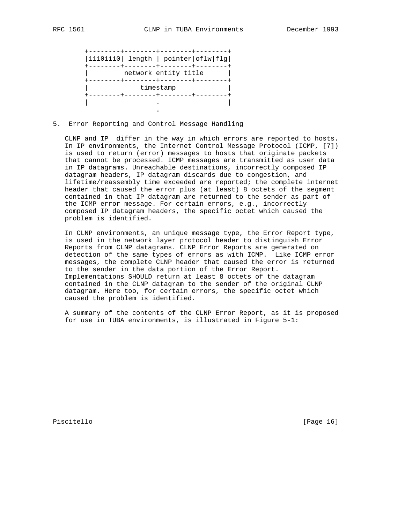|  |                      | 11101110  length   pointer oflw flg |
|--|----------------------|-------------------------------------|
|  | network entity title |                                     |
|  | timestamp            |                                     |
|  |                      |                                     |

5. Error Reporting and Control Message Handling

.

 CLNP and IP differ in the way in which errors are reported to hosts. In IP environments, the Internet Control Message Protocol (ICMP, [7]) is used to return (error) messages to hosts that originate packets that cannot be processed. ICMP messages are transmitted as user data in IP datagrams. Unreachable destinations, incorrectly composed IP datagram headers, IP datagram discards due to congestion, and lifetime/reassembly time exceeded are reported; the complete internet header that caused the error plus (at least) 8 octets of the segment contained in that IP datagram are returned to the sender as part of the ICMP error message. For certain errors, e.g., incorrectly composed IP datagram headers, the specific octet which caused the problem is identified.

 In CLNP environments, an unique message type, the Error Report type, is used in the network layer protocol header to distinguish Error Reports from CLNP datagrams. CLNP Error Reports are generated on detection of the same types of errors as with ICMP. Like ICMP error messages, the complete CLNP header that caused the error is returned to the sender in the data portion of the Error Report. Implementations SHOULD return at least 8 octets of the datagram contained in the CLNP datagram to the sender of the original CLNP datagram. Here too, for certain errors, the specific octet which caused the problem is identified.

 A summary of the contents of the CLNP Error Report, as it is proposed for use in TUBA environments, is illustrated in Figure 5-1:

Piscitello [Page 16]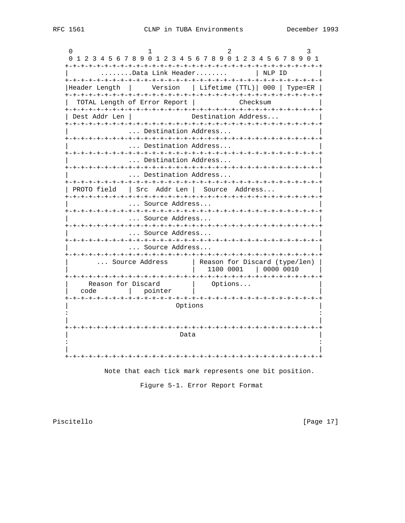$\cap$  $\overline{1}$  $\mathcal{D}$ 3 0 1 2 3 4 5 6 7 8 9 0 1 2 3 4 5 6 7 8 9 0 1 2 3 4 5 6 7 8 9 0 1 | NLP ID ........Data Link Header........ |Header Length | Version | Lifetime (TTL)| 000 | Type=ER | TOTAL Length of Error Report | Checksum Dest Addr Len | Destination Address... ... Destination Address... ... Destination Address... ... Destination Address... ... Destination Address... | PROTO field | Src Addr Len | Source Address... ... Source Address... ... Source Address... ... Source Address... ... Source Address... ... Source Address | Reason for Discard (type/len) |  $\vert$  1100 0001  $\vert$  0000 0010 Reason for Discard |<br>| code | pointer | Options... Options Data 

Note that each tick mark represents one bit position.

Figure 5-1. Error Report Format

Piscitello

[Page 17]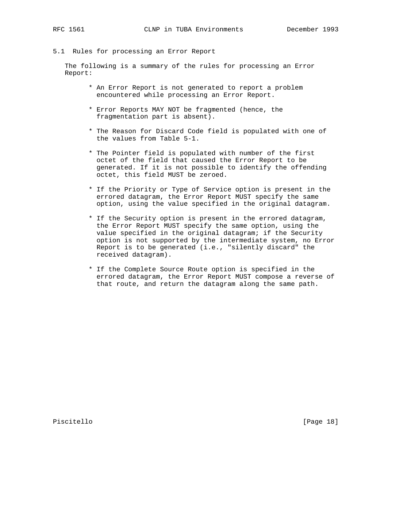5.1 Rules for processing an Error Report

 The following is a summary of the rules for processing an Error Report:

- \* An Error Report is not generated to report a problem encountered while processing an Error Report.
- \* Error Reports MAY NOT be fragmented (hence, the fragmentation part is absent).
- \* The Reason for Discard Code field is populated with one of the values from Table 5-1.
- \* The Pointer field is populated with number of the first octet of the field that caused the Error Report to be generated. If it is not possible to identify the offending octet, this field MUST be zeroed.
- \* If the Priority or Type of Service option is present in the errored datagram, the Error Report MUST specify the same option, using the value specified in the original datagram.
- \* If the Security option is present in the errored datagram, the Error Report MUST specify the same option, using the value specified in the original datagram; if the Security option is not supported by the intermediate system, no Error Report is to be generated (i.e., "silently discard" the received datagram).
- \* If the Complete Source Route option is specified in the errored datagram, the Error Report MUST compose a reverse of that route, and return the datagram along the same path.

Piscitello [Page 18]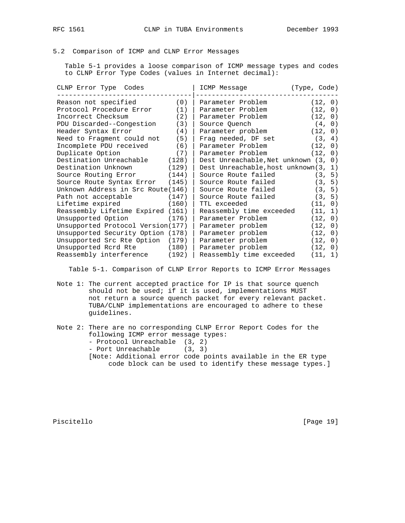5.2 Comparison of ICMP and CLNP Error Messages

 Table 5-1 provides a loose comparison of ICMP message types and codes to CLNP Error Type Codes (values in Internet decimal):

| CLNP Error Type Codes             |       | ICMP Message                          | (Type, Code) |  |
|-----------------------------------|-------|---------------------------------------|--------------|--|
| Reason not specified              | (0)   | Parameter Problem                     | (12, 0)      |  |
| Protocol Procedure Error          | (1)   | Parameter Problem                     | (12, 0)      |  |
| Incorrect Checksum                | (2)   | Parameter Problem                     | (12, 0)      |  |
| PDU Discarded--Congestion         | (3)   | Source Quench                         | (4, 0)       |  |
| Header Syntax Error               | (4)   | Parameter problem                     | (12, 0)      |  |
| Need to Fragment could not        | (5)   | Fraq needed, DF set                   | (3, 4)       |  |
| Incomplete PDU received           | (6)   | Parameter Problem                     | (12, 0)      |  |
| Duplicate Option                  | (7)   | Parameter Problem                     | (12, 0)      |  |
| Destination Unreachable           | (128) | Dest Unreachable, Net unknown (3, 0)  |              |  |
| Destination Unknown               | (129) | Dest Unreachable, host unknown (3, 1) |              |  |
| Source Routing Error              | (144) | Source Route failed                   | (3, 5)       |  |
| Source Route Syntax Error         | (145) | Source Route failed                   | (3, 5)       |  |
| Unknown Address in Src Route(146) |       | Source Route failed                   | (3, 5)       |  |
| Path not acceptable               | (147) | Source Route failed                   | (3, 5)       |  |
| Lifetime expired                  | (160) | TTL exceeded                          | (11, 0)      |  |
| Reassembly Lifetime Expired (161) |       | Reassembly time exceeded              | (11, 1)      |  |
| Unsupported Option                | (176) | Parameter Problem                     | (12, 0)      |  |
| Unsupported Protocol Version(177) |       | Parameter problem                     | (12, 0)      |  |
| Unsupported Security Option (178) |       | Parameter problem                     | (12, 0)      |  |
| Unsupported Src Rte Option        | (179) | Parameter problem                     | (12, 0)      |  |
| Unsupported Rcrd Rte (180)        |       | Parameter problem                     | (12, 0)      |  |
| Reassembly interference           | (192) | Reassembly time exceeded              | (11, 1)      |  |

Table 5-1. Comparison of CLNP Error Reports to ICMP Error Messages

 Note 1: The current accepted practice for IP is that source quench should not be used; if it is used, implementations MUST not return a source quench packet for every relevant packet. TUBA/CLNP implementations are encouraged to adhere to these guidelines.

 Note 2: There are no corresponding CLNP Error Report Codes for the following ICMP error message types: - Protocol Unreachable (3, 2) - Port Unreachable (3, 3)

 [Note: Additional error code points available in the ER type code block can be used to identify these message types.]

Piscitello [Page 19]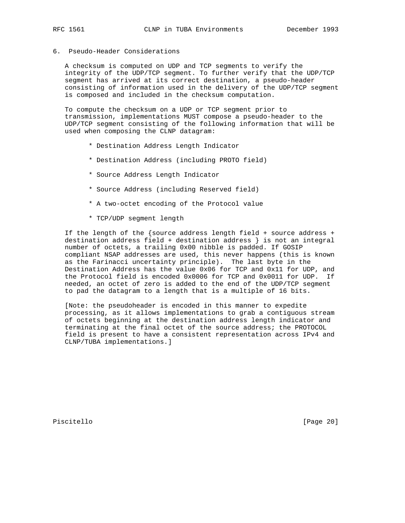## 6. Pseudo-Header Considerations

 A checksum is computed on UDP and TCP segments to verify the integrity of the UDP/TCP segment. To further verify that the UDP/TCP segment has arrived at its correct destination, a pseudo-header consisting of information used in the delivery of the UDP/TCP segment is composed and included in the checksum computation.

 To compute the checksum on a UDP or TCP segment prior to transmission, implementations MUST compose a pseudo-header to the UDP/TCP segment consisting of the following information that will be used when composing the CLNP datagram:

- \* Destination Address Length Indicator
- \* Destination Address (including PROTO field)
- \* Source Address Length Indicator
- \* Source Address (including Reserved field)
- \* A two-octet encoding of the Protocol value
- \* TCP/UDP segment length

 If the length of the {source address length field + source address + destination address field + destination address } is not an integral number of octets, a trailing 0x00 nibble is padded. If GOSIP compliant NSAP addresses are used, this never happens (this is known as the Farinacci uncertainty principle). The last byte in the Destination Address has the value 0x06 for TCP and 0x11 for UDP, and the Protocol field is encoded 0x0006 for TCP and 0x0011 for UDP. If needed, an octet of zero is added to the end of the UDP/TCP segment to pad the datagram to a length that is a multiple of 16 bits.

 [Note: the pseudoheader is encoded in this manner to expedite processing, as it allows implementations to grab a contiguous stream of octets beginning at the destination address length indicator and terminating at the final octet of the source address; the PROTOCOL field is present to have a consistent representation across IPv4 and CLNP/TUBA implementations.]

Piscitello [Page 20]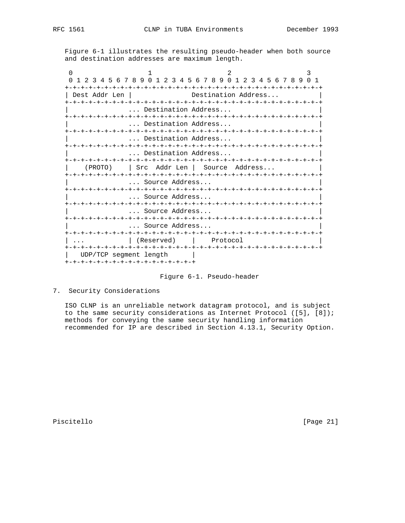Figure 6-1 illustrates the resulting pseudo-header when both source and destination addresses are maximum length.

| 23456789               | $\Omega$<br>$\mathbf{1}$                | 234567890123456789  |                 | $\cap$<br>$\mathbf{1}$ |
|------------------------|-----------------------------------------|---------------------|-----------------|------------------------|
|                        |                                         |                     |                 |                        |
| Dest Addr Len          |                                         | Destination Address |                 |                        |
|                        |                                         |                     |                 |                        |
|                        | Destination Address                     |                     |                 |                        |
|                        |                                         |                     |                 |                        |
|                        | Destination Address                     |                     |                 |                        |
|                        |                                         |                     |                 |                        |
|                        | Destination Address                     |                     |                 |                        |
|                        | Destination Address                     |                     |                 |                        |
|                        | -+-+-+-+-+-+-+-+-+-+-+-+-+-+-+-+-+-+-+- |                     | -+-+-+-+-+-+-+- |                        |
| (PROTO)                | Addr Len<br>Src                         | Source              | Address         |                        |
|                        |                                         |                     |                 |                        |
|                        | Source Address                          |                     |                 |                        |
|                        |                                         |                     |                 |                        |
|                        | Source Address                          |                     |                 |                        |
|                        |                                         |                     |                 |                        |
|                        | Source Address                          |                     |                 |                        |
|                        | Source Address                          |                     |                 |                        |
|                        |                                         |                     |                 |                        |
|                        | (Reserved)                              | Protocol            |                 |                        |
|                        | +-+-+-+-+-+-+-+-+-+-+-+-+-+-+-          | +-+-+-+-+-+-+       | -+-+-+-+-+      |                        |
| UDP/TCP segment length |                                         |                     |                 |                        |
|                        | -+-+-+-+-+-+-+-+-+-+-+-+-+-+-+-+-       |                     |                 |                        |

Figure 6-1. Pseudo-header

7. Security Considerations

 ISO CLNP is an unreliable network datagram protocol, and is subject to the same security considerations as Internet Protocol ([5], [8]); methods for conveying the same security handling information recommended for IP are described in Section 4.13.1, Security Option.

Piscitello [Page 21]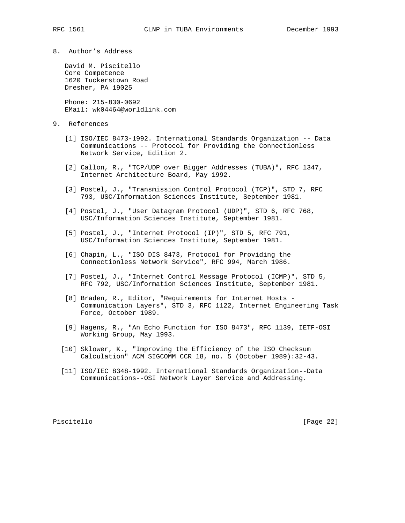8. Author's Address

 David M. Piscitello Core Competence 1620 Tuckerstown Road Dresher, PA 19025

 Phone: 215-830-0692 EMail: wk04464@worldlink.com

- 9. References
	- [1] ISO/IEC 8473-1992. International Standards Organization -- Data Communications -- Protocol for Providing the Connectionless Network Service, Edition 2.
	- [2] Callon, R., "TCP/UDP over Bigger Addresses (TUBA)", RFC 1347, Internet Architecture Board, May 1992.
	- [3] Postel, J., "Transmission Control Protocol (TCP)", STD 7, RFC 793, USC/Information Sciences Institute, September 1981.
	- [4] Postel, J., "User Datagram Protocol (UDP)", STD 6, RFC 768, USC/Information Sciences Institute, September 1981.
	- [5] Postel, J., "Internet Protocol (IP)", STD 5, RFC 791, USC/Information Sciences Institute, September 1981.
	- [6] Chapin, L., "ISO DIS 8473, Protocol for Providing the Connectionless Network Service", RFC 994, March 1986.
	- [7] Postel, J., "Internet Control Message Protocol (ICMP)", STD 5, RFC 792, USC/Information Sciences Institute, September 1981.
	- [8] Braden, R., Editor, "Requirements for Internet Hosts Communication Layers", STD 3, RFC 1122, Internet Engineering Task Force, October 1989.
	- [9] Hagens, R., "An Echo Function for ISO 8473", RFC 1139, IETF-OSI Working Group, May 1993.
	- [10] Sklower, K., "Improving the Efficiency of the ISO Checksum Calculation" ACM SIGCOMM CCR 18, no. 5 (October 1989):32-43.
	- [11] ISO/IEC 8348-1992. International Standards Organization--Data Communications--OSI Network Layer Service and Addressing.

Piscitello [Page 22]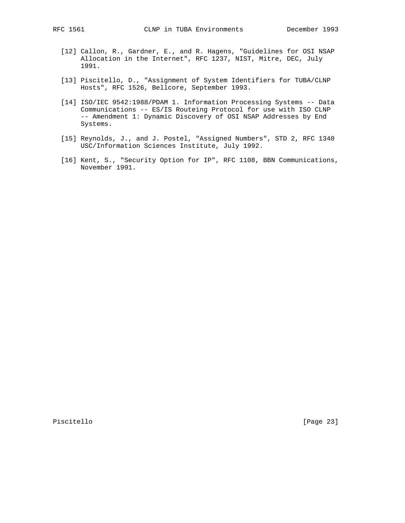- [12] Callon, R., Gardner, E., and R. Hagens, "Guidelines for OSI NSAP Allocation in the Internet", RFC 1237, NIST, Mitre, DEC, July 1991.
- [13] Piscitello, D., "Assignment of System Identifiers for TUBA/CLNP Hosts", RFC 1526, Bellcore, September 1993.
- [14] ISO/IEC 9542:1988/PDAM 1. Information Processing Systems -- Data Communications -- ES/IS Routeing Protocol for use with ISO CLNP -- Amendment 1: Dynamic Discovery of OSI NSAP Addresses by End Systems.
- [15] Reynolds, J., and J. Postel, "Assigned Numbers", STD 2, RFC 1340 USC/Information Sciences Institute, July 1992.
- [16] Kent, S., "Security Option for IP", RFC 1108, BBN Communications, November 1991.

Piscitello [Page 23]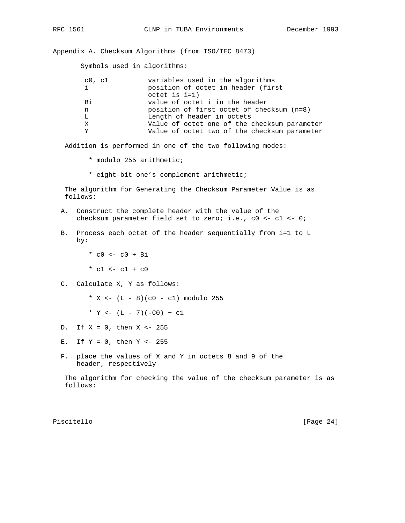Appendix A. Checksum Algorithms (from ISO/IEC 8473)

Symbols used in algorithms:

| c0, c1 | variables used in the algorithms             |
|--------|----------------------------------------------|
|        | position of octet in header (first           |
|        | $octet$ is $i=1$ )                           |
| Bi     | value of octet i in the header               |
| n      | position of first octet of checksum (n=8)    |
| L      | Length of header in octets                   |
| X      | Value of octet one of the checksum parameter |
| v      | Value of octet two of the checksum parameter |
|        |                                              |

Addition is performed in one of the two following modes:

- \* modulo 255 arithmetic;
- \* eight-bit one's complement arithmetic;

 The algorithm for Generating the Checksum Parameter Value is as follows:

- A. Construct the complete header with the value of the checksum parameter field set to zero; i.e., c0 <- c1 <- 0;
- B. Process each octet of the header sequentially from i=1 to L by:
	- $*$  c0 <- c0 + Bi
	- \*  $c1$  <-  $c1$  +  $c0$
- C. Calculate X, Y as follows:
	- \* X <-  $(L 8)(c0 c1)$  modulo 255
	- \*  $Y \leftarrow (L 7)(-C0) + C1$
- D. If  $X = 0$ , then  $X < -255$
- E. If  $Y = 0$ , then  $Y < -255$
- F. place the values of X and Y in octets 8 and 9 of the header, respectively

 The algorithm for checking the value of the checksum parameter is as follows:

Piscitello [Page 24]